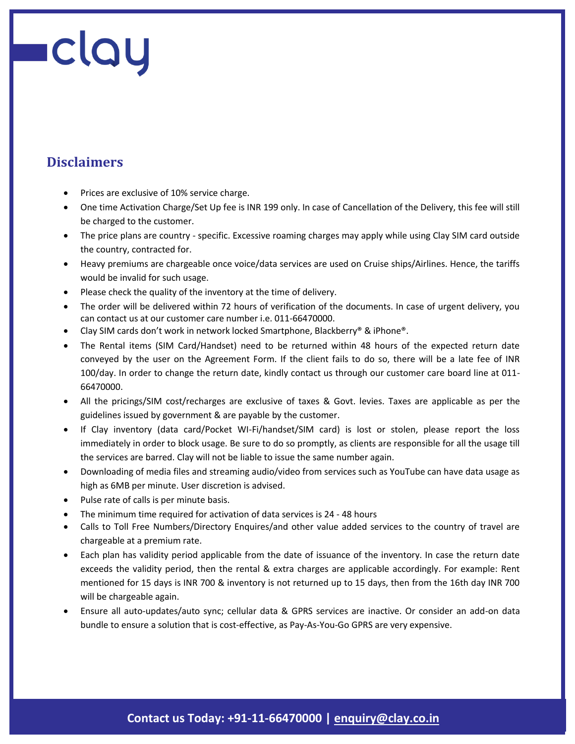## **Disclaimers**

- Prices are exclusive of 10% service charge.
- One time Activation Charge/Set Up fee is INR 199 only. In case of Cancellation of the Delivery, this fee will still be charged to the customer.
- The price plans are country specific. Excessive roaming charges may apply while using Clay SIM card outside the country, contracted for.
- Heavy premiums are chargeable once voice/data services are used on Cruise ships/Airlines. Hence, the tariffs would be invalid for such usage.
- Please check the quality of the inventory at the time of delivery.
- The order will be delivered within 72 hours of verification of the documents. In case of urgent delivery, you can contact us at our customer care number i.e. 011-66470000.
- Clay SIM cards don't work in network locked Smartphone, Blackberry® & iPhone®.
- The Rental items (SIM Card/Handset) need to be returned within 48 hours of the expected return date conveyed by the user on the Agreement Form. If the client fails to do so, there will be a late fee of INR 100/day. In order to change the return date, kindly contact us through our customer care board line at 011- 66470000.
- All the pricings/SIM cost/recharges are exclusive of taxes & Govt. levies. Taxes are applicable as per the guidelines issued by government & are payable by the customer.
- If Clay inventory (data card/Pocket WI-Fi/handset/SIM card) is lost or stolen, please report the loss immediately in order to block usage. Be sure to do so promptly, as clients are responsible for all the usage till the services are barred. Clay will not be liable to issue the same number again.
- Downloading of media files and streaming audio/video from services such as YouTube can have data usage as high as 6MB per minute. User discretion is advised.
- Pulse rate of calls is per minute basis.
- The minimum time required for activation of data services is 24 48 hours
- Calls to Toll Free Numbers/Directory Enquires/and other value added services to the country of travel are chargeable at a premium rate.
- Each plan has validity period applicable from the date of issuance of the inventory. In case the return date exceeds the validity period, then the rental & extra charges are applicable accordingly. For example: Rent mentioned for 15 days is INR 700 & inventory is not returned up to 15 days, then from the 16th day INR 700 will be chargeable again.
- Ensure all auto-updates/auto sync; cellular data & GPRS services are inactive. Or consider an add-on data bundle to ensure a solution that is cost-effective, as Pay-As-You-Go GPRS are very expensive.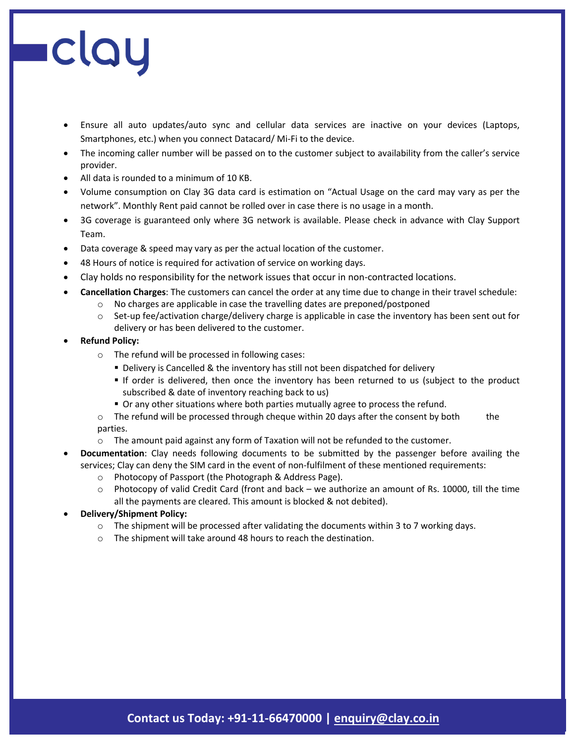- Ensure all auto updates/auto sync and cellular data services are inactive on your devices (Laptops, Smartphones, etc.) when you connect Datacard/ Mi-Fi to the device.
- The incoming caller number will be passed on to the customer subject to availability from the caller's service provider.
- All data is rounded to a minimum of 10 KB.
- Volume consumption on Clay 3G data card is estimation on "Actual Usage on the card may vary as per the network". Monthly Rent paid cannot be rolled over in case there is no usage in a month.
- 3G coverage is guaranteed only where 3G network is available. Please check in advance with Clay Support Team.
- Data coverage & speed may vary as per the actual location of the customer.
- 48 Hours of notice is required for activation of service on working days.
- Clay holds no responsibility for the network issues that occur in non-contracted locations.
- **Cancellation Charges**: The customers can cancel the order at any time due to change in their travel schedule:
	- o No charges are applicable in case the travelling dates are preponed/postponed
		- $\circ$  Set-up fee/activation charge/delivery charge is applicable in case the inventory has been sent out for delivery or has been delivered to the customer.
- **Refund Policy:** 
	- o The refund will be processed in following cases:
		- Delivery is Cancelled & the inventory has still not been dispatched for delivery
		- If order is delivered, then once the inventory has been returned to us (subject to the product subscribed & date of inventory reaching back to us)
		- Or any other situations where both parties mutually agree to process the refund.
	- $\circ$  The refund will be processed through cheque within 20 days after the consent by both the parties.
	- $\circ$  The amount paid against any form of Taxation will not be refunded to the customer.
- **Documentation**: Clay needs following documents to be submitted by the passenger before availing the services; Clay can deny the SIM card in the event of non-fulfilment of these mentioned requirements:
	- o Photocopy of Passport (the Photograph & Address Page).
	- $\circ$  Photocopy of valid Credit Card (front and back we authorize an amount of Rs. 10000, till the time all the payments are cleared. This amount is blocked & not debited).
- **Delivery/Shipment Policy:** 
	- $\circ$  The shipment will be processed after validating the documents within 3 to 7 working days.
	- o The shipment will take around 48 hours to reach the destination.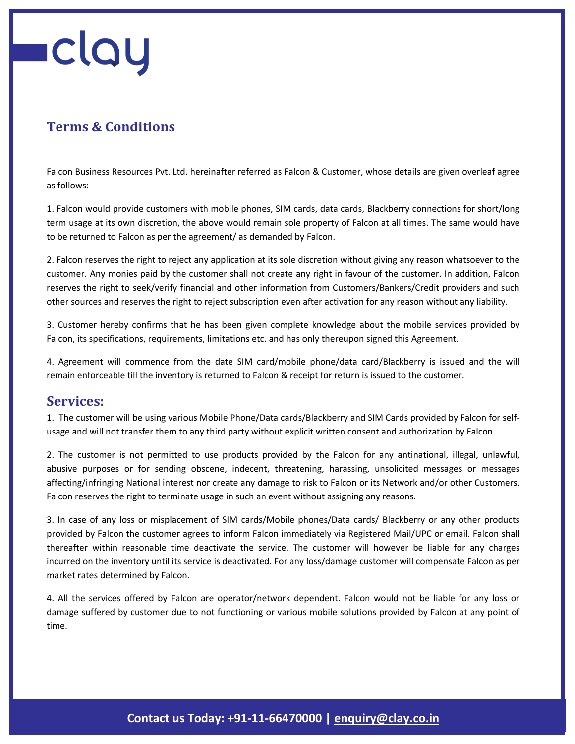### **Terms & Conditions**

Falcon Business Resources Pvt. Ltd. hereinafter referred as Falcon & Customer, whose details are given overleaf agree as follows:

1. Falcon would provide customers with mobile phones, SIM cards, data cards, Blackberry connections for short/long term usage at its own discretion, the above would remain sole property of Falcon at all times. The same would have to be returned to Falcon as per the agreement/ as demanded by Falcon.

2. Falcon reserves the right to reject any application at its sole discretion without giving any reason whatsoever to the customer. Any monies paid by the customer shall not create any right in favour of the customer. In addition, Falcon reserves the right to seek/verify financial and other information from Customers/Bankers/Credit providers and such other sources and reserves the right to reject subscription even after activation for any reason without any liability.

3. Customer hereby confirms that he has been given complete knowledge about the mobile services provided by Falcon, its specifications, requirements, limitations etc. and has only thereupon signed this Agreement.

4. Agreement will commence from the date SIM card/mobile phone/data card/Blackberry is issued and the will remain enforceable till the inventory is returned to Falcon & receipt for return is issued to the customer.

#### **Services:**

1. The customer will be using various Mobile Phone/Data cards/Blackberry and SIM Cards provided by Falcon for selfusage and will not transfer them to any third party without explicit written consent and authorization by Falcon.

2. The customer is not permitted to use products provided by the Falcon for any antinational, illegal, unlawful, abusive purposes or for sending obscene, indecent, threatening, harassing, unsolicited messages or messages affecting/infringing National interest nor create any damage to risk to Falcon or its Network and/or other Customers. Falcon reserves the right to terminate usage in such an event without assigning any reasons.

3. In case of any loss or misplacement of SIM cards/Mobile phones/Data cards/ Blackberry or any other products provided by Falcon the customer agrees to inform Falcon immediately via Registered Mail/UPC or email. Falcon shall thereafter within reasonable time deactivate the service. The customer will however be liable for any charges incurred on the inventory until its service is deactivated. For any loss/damage customer will compensate Falcon as per market rates determined by Falcon.

4. All the services offered by Falcon are operator/network dependent. Falcon would not be liable for any loss or damage suffered by customer due to not functioning or various mobile solutions provided by Falcon at any point of time.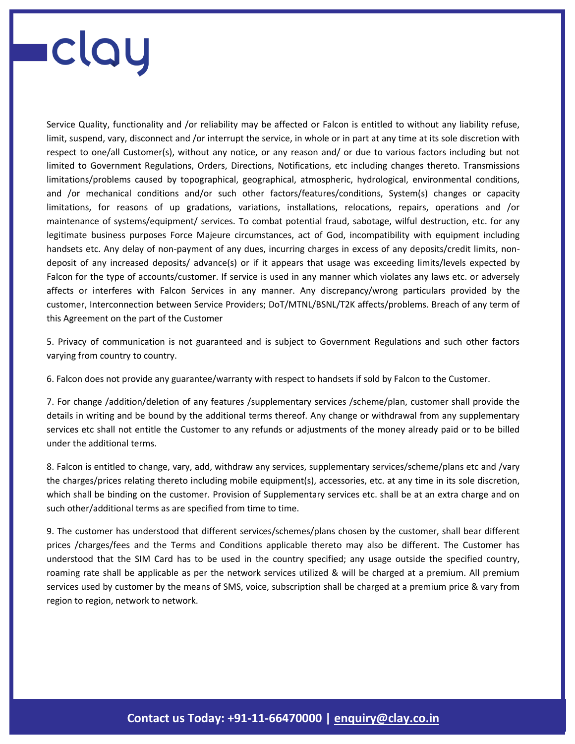Service Quality, functionality and /or reliability may be affected or Falcon is entitled to without any liability refuse, limit, suspend, vary, disconnect and /or interrupt the service, in whole or in part at any time at its sole discretion with respect to one/all Customer(s), without any notice, or any reason and/ or due to various factors including but not limited to Government Regulations, Orders, Directions, Notifications, etc including changes thereto. Transmissions limitations/problems caused by topographical, geographical, atmospheric, hydrological, environmental conditions, and /or mechanical conditions and/or such other factors/features/conditions, System(s) changes or capacity limitations, for reasons of up gradations, variations, installations, relocations, repairs, operations and /or maintenance of systems/equipment/ services. To combat potential fraud, sabotage, wilful destruction, etc. for any legitimate business purposes Force Majeure circumstances, act of God, incompatibility with equipment including handsets etc. Any delay of non-payment of any dues, incurring charges in excess of any deposits/credit limits, nondeposit of any increased deposits/ advance(s) or if it appears that usage was exceeding limits/levels expected by Falcon for the type of accounts/customer. If service is used in any manner which violates any laws etc. or adversely affects or interferes with Falcon Services in any manner. Any discrepancy/wrong particulars provided by the customer, Interconnection between Service Providers; DoT/MTNL/BSNL/T2K affects/problems. Breach of any term of this Agreement on the part of the Customer

5. Privacy of communication is not guaranteed and is subject to Government Regulations and such other factors varying from country to country.

6. Falcon does not provide any guarantee/warranty with respect to handsets if sold by Falcon to the Customer.

7. For change /addition/deletion of any features /supplementary services /scheme/plan, customer shall provide the details in writing and be bound by the additional terms thereof. Any change or withdrawal from any supplementary services etc shall not entitle the Customer to any refunds or adjustments of the money already paid or to be billed under the additional terms.

8. Falcon is entitled to change, vary, add, withdraw any services, supplementary services/scheme/plans etc and /vary the charges/prices relating thereto including mobile equipment(s), accessories, etc. at any time in its sole discretion, which shall be binding on the customer. Provision of Supplementary services etc. shall be at an extra charge and on such other/additional terms as are specified from time to time.

9. The customer has understood that different services/schemes/plans chosen by the customer, shall bear different prices /charges/fees and the Terms and Conditions applicable thereto may also be different. The Customer has understood that the SIM Card has to be used in the country specified; any usage outside the specified country, roaming rate shall be applicable as per the network services utilized & will be charged at a premium. All premium services used by customer by the means of SMS, voice, subscription shall be charged at a premium price & vary from region to region, network to network.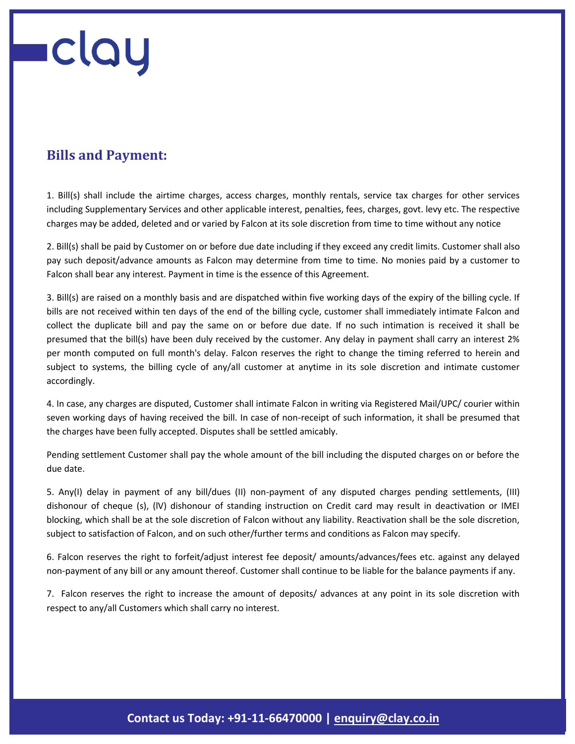### **Bills and Payment:**

1. Bill(s) shall include the airtime charges, access charges, monthly rentals, service tax charges for other services including Supplementary Services and other applicable interest, penalties, fees, charges, govt. levy etc. The respective charges may be added, deleted and or varied by Falcon at its sole discretion from time to time without any notice

2. Bill(s) shall be paid by Customer on or before due date including if they exceed any credit limits. Customer shall also pay such deposit/advance amounts as Falcon may determine from time to time. No monies paid by a customer to Falcon shall bear any interest. Payment in time is the essence of this Agreement.

3. Bill(s) are raised on a monthly basis and are dispatched within five working days of the expiry of the billing cycle. If bills are not received within ten days of the end of the billing cycle, customer shall immediately intimate Falcon and collect the duplicate bill and pay the same on or before due date. If no such intimation is received it shall be presumed that the bill(s) have been duly received by the customer. Any delay in payment shall carry an interest 2% per month computed on full month's delay. Falcon reserves the right to change the timing referred to herein and subject to systems, the billing cycle of any/all customer at anytime in its sole discretion and intimate customer accordingly.

4. In case, any charges are disputed, Customer shall intimate Falcon in writing via Registered Mail/UPC/ courier within seven working days of having received the bill. In case of non-receipt of such information, it shall be presumed that the charges have been fully accepted. Disputes shall be settled amicably.

Pending settlement Customer shall pay the whole amount of the bill including the disputed charges on or before the due date.

5. Any(I) delay in payment of any bill/dues (II) non-payment of any disputed charges pending settlements, (III) dishonour of cheque (s), (lV) dishonour of standing instruction on Credit card may result in deactivation or IMEI blocking, which shall be at the sole discretion of Falcon without any liability. Reactivation shall be the sole discretion, subject to satisfaction of Falcon, and on such other/further terms and conditions as Falcon may specify.

6. Falcon reserves the right to forfeit/adjust interest fee deposit/ amounts/advances/fees etc. against any delayed non-payment of any bill or any amount thereof. Customer shall continue to be liable for the balance payments if any.

7. Falcon reserves the right to increase the amount of deposits/ advances at any point in its sole discretion with respect to any/all Customers which shall carry no interest.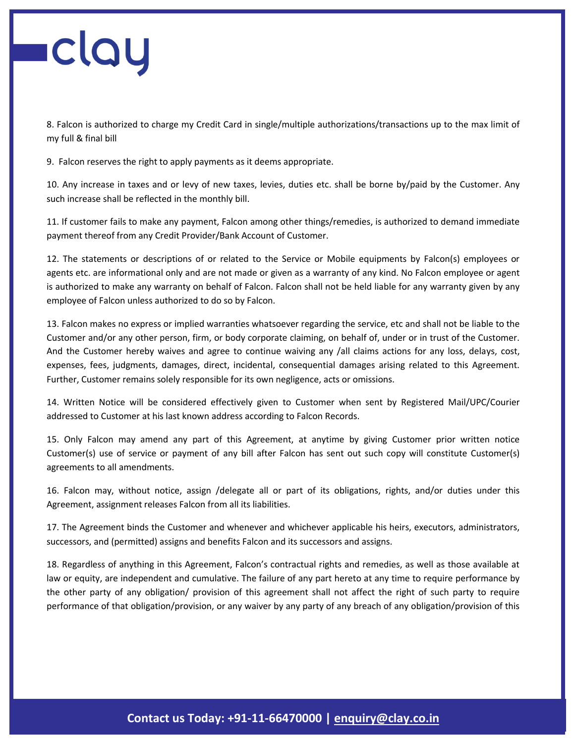8. Falcon is authorized to charge my Credit Card in single/multiple authorizations/transactions up to the max limit of my full & final bill

9. Falcon reserves the right to apply payments as it deems appropriate.

10. Any increase in taxes and or levy of new taxes, levies, duties etc. shall be borne by/paid by the Customer. Any such increase shall be reflected in the monthly bill.

11. If customer fails to make any payment, Falcon among other things/remedies, is authorized to demand immediate payment thereof from any Credit Provider/Bank Account of Customer.

12. The statements or descriptions of or related to the Service or Mobile equipments by Falcon(s) employees or agents etc. are informational only and are not made or given as a warranty of any kind. No Falcon employee or agent is authorized to make any warranty on behalf of Falcon. Falcon shall not be held liable for any warranty given by any employee of Falcon unless authorized to do so by Falcon.

13. Falcon makes no express or implied warranties whatsoever regarding the service, etc and shall not be liable to the Customer and/or any other person, firm, or body corporate claiming, on behalf of, under or in trust of the Customer. And the Customer hereby waives and agree to continue waiving any /all claims actions for any loss, delays, cost, expenses, fees, judgments, damages, direct, incidental, consequential damages arising related to this Agreement. Further, Customer remains solely responsible for its own negligence, acts or omissions.

14. Written Notice will be considered effectively given to Customer when sent by Registered Mail/UPC/Courier addressed to Customer at his last known address according to Falcon Records.

15. Only Falcon may amend any part of this Agreement, at anytime by giving Customer prior written notice Customer(s) use of service or payment of any bill after Falcon has sent out such copy will constitute Customer(s) agreements to all amendments.

16. Falcon may, without notice, assign /delegate all or part of its obligations, rights, and/or duties under this Agreement, assignment releases Falcon from all its liabilities.

17. The Agreement binds the Customer and whenever and whichever applicable his heirs, executors, administrators, successors, and (permitted) assigns and benefits Falcon and its successors and assigns.

18. Regardless of anything in this Agreement, Falcon's contractual rights and remedies, as well as those available at law or equity, are independent and cumulative. The failure of any part hereto at any time to require performance by the other party of any obligation/ provision of this agreement shall not affect the right of such party to require performance of that obligation/provision, or any waiver by any party of any breach of any obligation/provision of this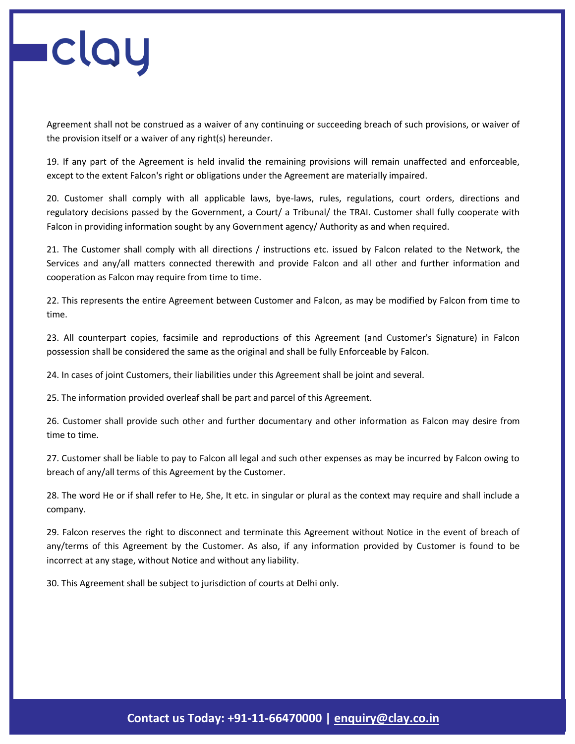Agreement shall not be construed as a waiver of any continuing or succeeding breach of such provisions, or waiver of the provision itself or a waiver of any right(s) hereunder.

19. If any part of the Agreement is held invalid the remaining provisions will remain unaffected and enforceable, except to the extent Falcon's right or obligations under the Agreement are materially impaired.

20. Customer shall comply with all applicable laws, bye-laws, rules, regulations, court orders, directions and regulatory decisions passed by the Government, a Court/ a Tribunal/ the TRAI. Customer shall fully cooperate with Falcon in providing information sought by any Government agency/ Authority as and when required.

21. The Customer shall comply with all directions / instructions etc. issued by Falcon related to the Network, the Services and any/all matters connected therewith and provide Falcon and all other and further information and cooperation as Falcon may require from time to time.

22. This represents the entire Agreement between Customer and Falcon, as may be modified by Falcon from time to time.

23. All counterpart copies, facsimile and reproductions of this Agreement (and Customer's Signature) in Falcon possession shall be considered the same as the original and shall be fully Enforceable by Falcon.

24. In cases of joint Customers, their liabilities under this Agreement shall be joint and several.

25. The information provided overleaf shall be part and parcel of this Agreement.

26. Customer shall provide such other and further documentary and other information as Falcon may desire from time to time.

27. Customer shall be liable to pay to Falcon all legal and such other expenses as may be incurred by Falcon owing to breach of any/all terms of this Agreement by the Customer.

28. The word He or if shall refer to He, She, It etc. in singular or plural as the context may require and shall include a company.

29. Falcon reserves the right to disconnect and terminate this Agreement without Notice in the event of breach of any/terms of this Agreement by the Customer. As also, if any information provided by Customer is found to be incorrect at any stage, without Notice and without any liability.

30. This Agreement shall be subject to jurisdiction of courts at Delhi only.